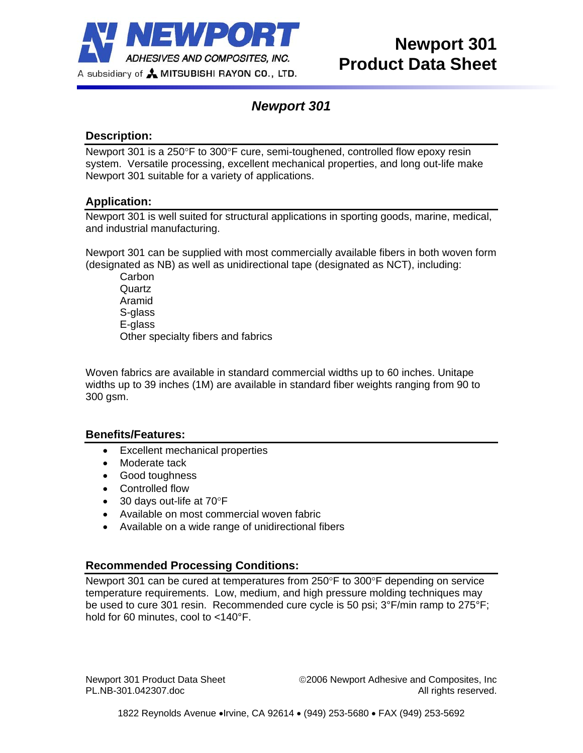

# *Newport 301*

## **Description:**

Newport 301 is a 250°F to 300°F cure, semi-toughened, controlled flow epoxy resin system. Versatile processing, excellent mechanical properties, and long out-life make Newport 301 suitable for a variety of applications.

### **Application:**

Newport 301 is well suited for structural applications in sporting goods, marine, medical, and industrial manufacturing.

Newport 301 can be supplied with most commercially available fibers in both woven form (designated as NB) as well as unidirectional tape (designated as NCT), including:

**Carbon Quartz** Aramid S-glass E-glass Other specialty fibers and fabrics

Woven fabrics are available in standard commercial widths up to 60 inches. Unitape widths up to 39 inches (1M) are available in standard fiber weights ranging from 90 to 300 gsm.

#### **Benefits/Features:**

- Excellent mechanical properties
- Moderate tack
- Good toughness
- Controlled flow
- 30 days out-life at 70°F
- Available on most commercial woven fabric
- Available on a wide range of unidirectional fibers

## **Recommended Processing Conditions:**

Newport 301 can be cured at temperatures from 250°F to 300°F depending on service temperature requirements. Low, medium, and high pressure molding techniques may be used to cure 301 resin. Recommended cure cycle is 50 psi; 3°F/min ramp to 275°F; hold for 60 minutes, cool to <140°F.

Newport 301 Product Data Sheet ©2006 Newport Adhesive and Composites, Inc PL.NB-301.042307.doc **All rights reserved.**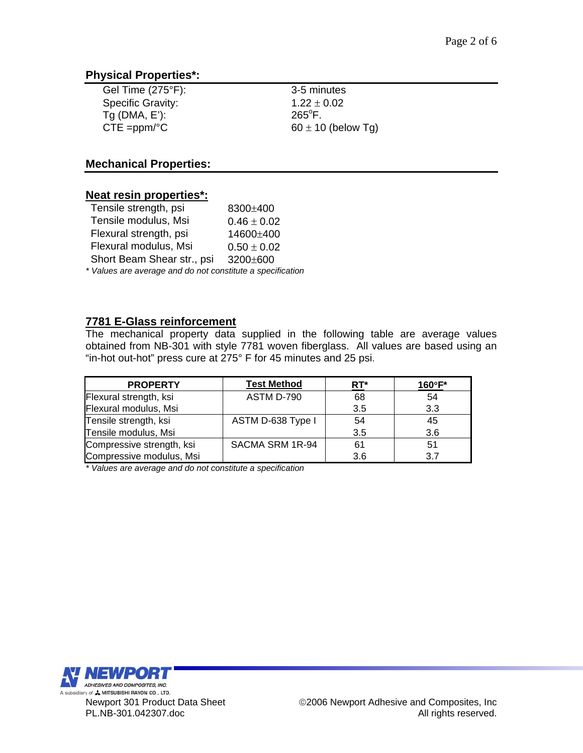### **Physical Properties\*:**

| Gel Time $(275^{\circ}F)$ : | 3-5 r       |
|-----------------------------|-------------|
| <b>Specific Gravity:</b>    | 1.22        |
| $Tg$ (DMA, E'):             | $265^\circ$ |
| $CTE = ppm$ <sup>o</sup> C  | $60 \pm$    |

3-5 minutes  $1.22 \pm 0.02$  $265^{\circ}$ F.  $60 \pm 10$  (below Tg)

### **Mechanical Properties:**

#### **Neat resin properties\*:**

| Tensile strength, psi                                      | 8300±400        |  |
|------------------------------------------------------------|-----------------|--|
| Tensile modulus, Msi                                       | $0.46 \pm 0.02$ |  |
| Flexural strength, psi                                     | 14600±400       |  |
| Flexural modulus, Msi                                      | $0.50 \pm 0.02$ |  |
| Short Beam Shear str., psi                                 | 3200±600        |  |
| * Values are average and do not constitute a specification |                 |  |

### **7781 E-Glass reinforcement**

The mechanical property data supplied in the following table are average values obtained from NB-301 with style 7781 woven fiberglass. All values are based using an "in-hot out-hot" press cure at 275° F for 45 minutes and 25 psi.

| <b>PROPERTY</b>           | <b>Test Method</b> | $RT^*$ | $160^{\circ}$ F* |
|---------------------------|--------------------|--------|------------------|
| Flexural strength, ksi    | ASTM D-790         | 68     | 54               |
| Flexural modulus, Msi     |                    | 3.5    | 3.3              |
| Tensile strength, ksi     | ASTM D-638 Type I  | 54     | 45               |
| Tensile modulus, Msi      |                    | 3.5    | 3.6              |
| Compressive strength, ksi | SACMA SRM 1R-94    | 61     | 51               |
| Compressive modulus, Msi  |                    | 3.6    | 3.7              |

*\* Values are average and do not constitute a specification*

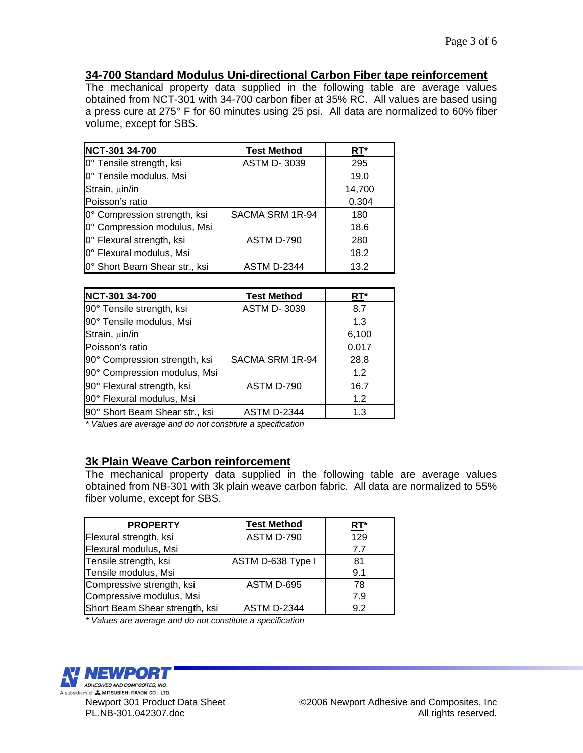# **34-700 Standard Modulus Uni-directional Carbon Fiber tape reinforcement**

The mechanical property data supplied in the following table are average values obtained from NCT-301 with 34-700 carbon fiber at 35% RC. All values are based using a press cure at 275° F for 60 minutes using 25 psi. All data are normalized to 60% fiber volume, except for SBS.

| NCT-301 34-700                | <b>Test Method</b> | RT*    |
|-------------------------------|--------------------|--------|
| 0° Tensile strength, ksi      | <b>ASTM D-3039</b> | 295    |
| 0° Tensile modulus, Msi       |                    | 19.0   |
| Strain, µin/in                |                    | 14,700 |
| Poisson's ratio               |                    | 0.304  |
| 0° Compression strength, ksi  | SACMA SRM 1R-94    | 180    |
| 0° Compression modulus, Msi   |                    | 18.6   |
| 0° Flexural strength, ksi     | ASTM D-790         | 280    |
| 0° Flexural modulus, Msi      |                    | 18.2   |
| 0° Short Beam Shear str., ksi | <b>ASTM D-2344</b> | 13.2   |

| NCT-301 34-700                 | <b>Test Method</b> | RT*   |
|--------------------------------|--------------------|-------|
| 90° Tensile strength, ksi      | <b>ASTM D-3039</b> | 8.7   |
| 90° Tensile modulus, Msi       |                    | 1.3   |
| Strain, µin/in                 |                    | 6,100 |
| Poisson's ratio                |                    | 0.017 |
| 90° Compression strength, ksi  | SACMA SRM 1R-94    | 28.8  |
| 90° Compression modulus, Msi   |                    | 1.2   |
| 90° Flexural strength, ksi     | ASTM D-790         | 16.7  |
| 90° Flexural modulus, Msi      |                    | 1.2   |
| 90° Short Beam Shear str., ksi | <b>ASTM D-2344</b> | 1.3   |

*\* Values are average and do not constitute a specification*

### **3k Plain Weave Carbon reinforcement**

The mechanical property data supplied in the following table are average values obtained from NB-301 with 3k plain weave carbon fabric. All data are normalized to 55% fiber volume, except for SBS.

| <b>PROPERTY</b>                | <b>Test Method</b> | RT* |
|--------------------------------|--------------------|-----|
| Flexural strength, ksi         | ASTM D-790         | 129 |
| Flexural modulus, Msi          |                    | 7.7 |
| Tensile strength, ksi          | ASTM D-638 Type I  | 81  |
| Tensile modulus, Msi           |                    | 9.1 |
| Compressive strength, ksi      | ASTM D-695         | 78  |
| Compressive modulus, Msi       |                    | 7.9 |
| Short Beam Shear strength, ksi | <b>ASTM D-2344</b> | 9.2 |

*\* Values are average and do not constitute a specification*

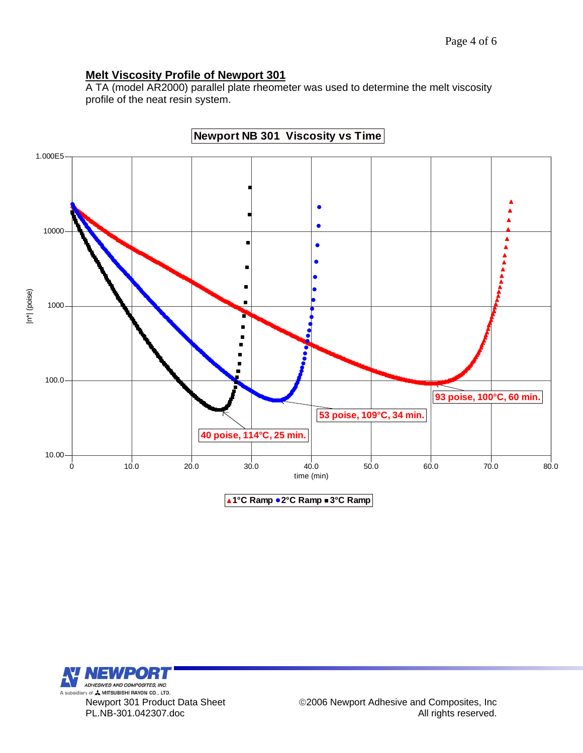# **Melt Viscosity Profile of Newport 301**

A TA (model AR2000) parallel plate rheometer was used to determine the melt viscosity profile of the neat resin system.



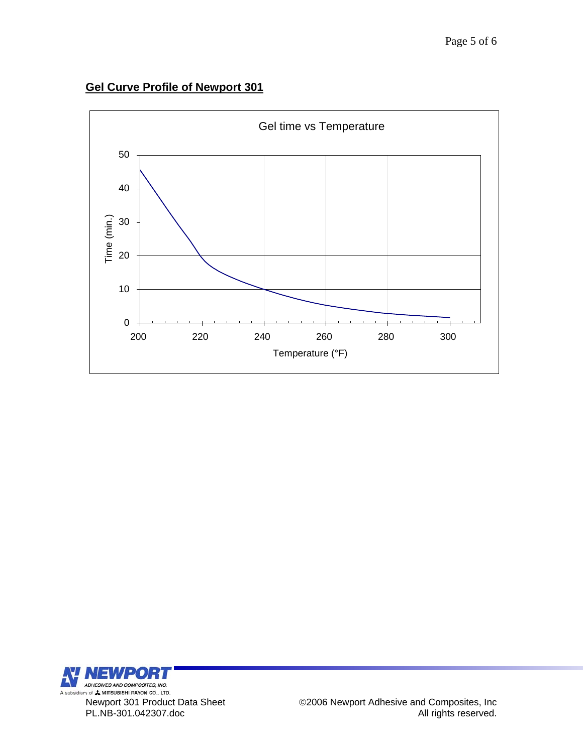# **Gel Curve Profile of Newport 301**